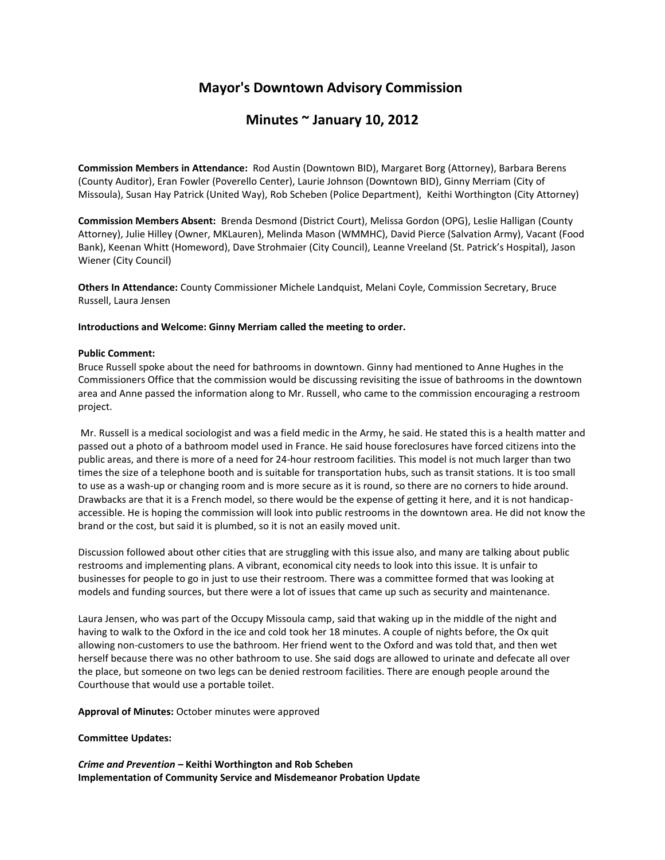# **Mayor's Downtown Advisory Commission**

## **Minutes ~ January 10, 2012**

**Commission Members in Attendance:** Rod Austin (Downtown BID), Margaret Borg (Attorney), Barbara Berens (County Auditor), Eran Fowler (Poverello Center), Laurie Johnson (Downtown BID), Ginny Merriam (City of Missoula), Susan Hay Patrick (United Way), Rob Scheben (Police Department), Keithi Worthington (City Attorney)

**Commission Members Absent:** Brenda Desmond (District Court), Melissa Gordon (OPG), Leslie Halligan (County Attorney), Julie Hilley (Owner, MKLauren), Melinda Mason (WMMHC), David Pierce (Salvation Army), Vacant (Food Bank), Keenan Whitt (Homeword), Dave Strohmaier (City Council), Leanne Vreeland (St. Patrick's Hospital), Jason Wiener (City Council)

**Others In Attendance:** County Commissioner Michele Landquist, Melani Coyle, Commission Secretary, Bruce Russell, Laura Jensen

#### **Introductions and Welcome: Ginny Merriam called the meeting to order.**

#### **Public Comment:**

Bruce Russell spoke about the need for bathrooms in downtown. Ginny had mentioned to Anne Hughes in the Commissioners Office that the commission would be discussing revisiting the issue of bathrooms in the downtown area and Anne passed the information along to Mr. Russell, who came to the commission encouraging a restroom project.

Mr. Russell is a medical sociologist and was a field medic in the Army, he said. He stated this is a health matter and passed out a photo of a bathroom model used in France. He said house foreclosures have forced citizens into the public areas, and there is more of a need for 24-hour restroom facilities. This model is not much larger than two times the size of a telephone booth and is suitable for transportation hubs, such as transit stations. It is too small to use as a wash-up or changing room and is more secure as it is round, so there are no corners to hide around. Drawbacks are that it is a French model, so there would be the expense of getting it here, and it is not handicapaccessible. He is hoping the commission will look into public restrooms in the downtown area. He did not know the brand or the cost, but said it is plumbed, so it is not an easily moved unit.

Discussion followed about other cities that are struggling with this issue also, and many are talking about public restrooms and implementing plans. A vibrant, economical city needs to look into this issue. It is unfair to businesses for people to go in just to use their restroom. There was a committee formed that was looking at models and funding sources, but there were a lot of issues that came up such as security and maintenance.

Laura Jensen, who was part of the Occupy Missoula camp, said that waking up in the middle of the night and having to walk to the Oxford in the ice and cold took her 18 minutes. A couple of nights before, the Ox quit allowing non-customers to use the bathroom. Her friend went to the Oxford and was told that, and then wet herself because there was no other bathroom to use. She said dogs are allowed to urinate and defecate all over the place, but someone on two legs can be denied restroom facilities. There are enough people around the Courthouse that would use a portable toilet.

**Approval of Minutes:** October minutes were approved

#### **Committee Updates:**

*Crime and Prevention –* **Keithi Worthington and Rob Scheben Implementation of Community Service and Misdemeanor Probation Update**